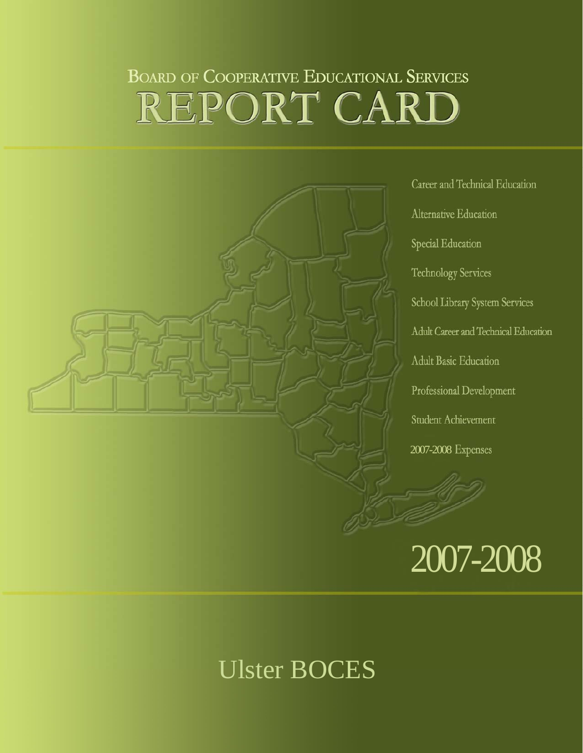# **BOARD OF COOPERATIVE EDUCATIONAL SERVICES** REPORT CARD



Career and Technical Education Alternative Education Special Education **Technology Services** School Library System Services Adult Career and Technical Education Adult Basic Education Professional Development Student Achievement 2007-2008 Expenses

# 2007-2008

# Ulster BOCES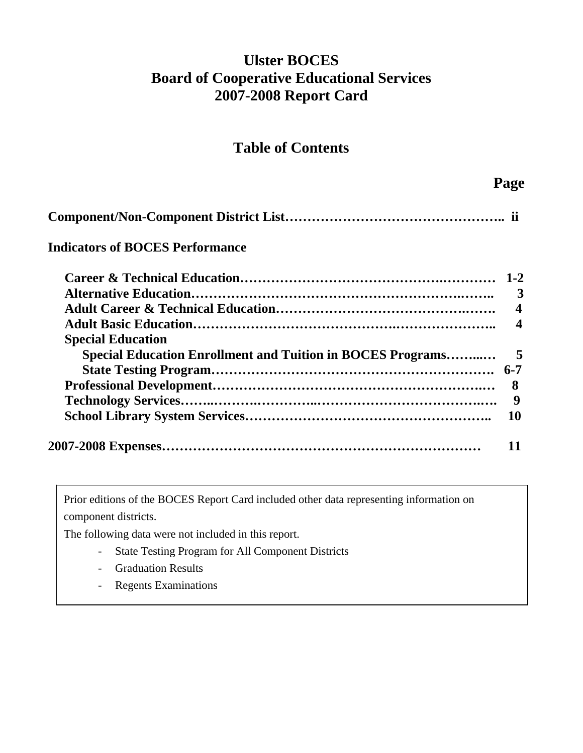# **Ulster BOCES Board of Cooperative Educational Services 2007-2008 Report Card**

### **Table of Contents**

| <b>Indicators of BOCES Performance</b>                     |                         |
|------------------------------------------------------------|-------------------------|
|                                                            |                         |
|                                                            | 3                       |
|                                                            | $\overline{\mathbf{4}}$ |
|                                                            | $\boldsymbol{4}$        |
| <b>Special Education</b>                                   |                         |
| Special Education Enrollment and Tuition in BOCES Programs | 5                       |
|                                                            |                         |
|                                                            | 8                       |
|                                                            | 9                       |
|                                                            | 10                      |
|                                                            |                         |

Prior editions of the BOCES Report Card included other data representing information on component districts.

The following data were not included in this report.

- State Testing Program for All Component Districts
- Graduation Results
- Regents Examinations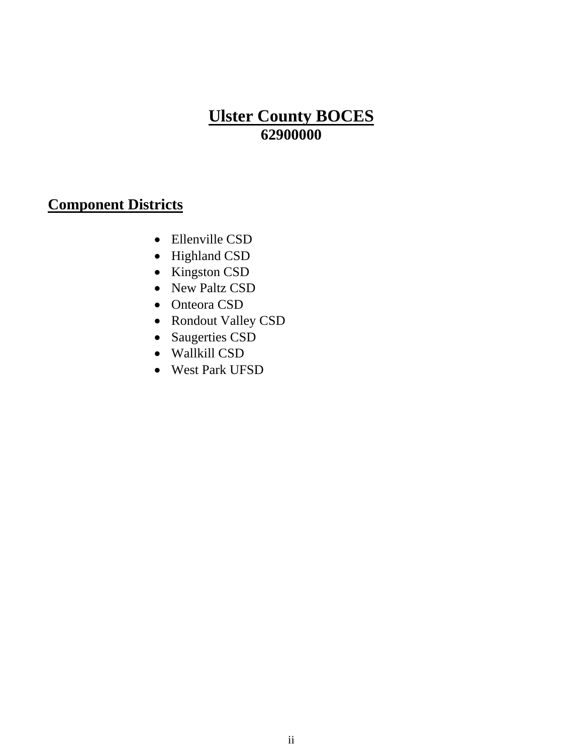# **Ulster County BOCES 62900000**

# **Component Districts**

- Ellenville CSD
- Highland CSD
- Kingston CSD
- New Paltz CSD
- Onteora CSD
- Rondout Valley CSD
- Saugerties CSD
- Wallkill CSD
- West Park UFSD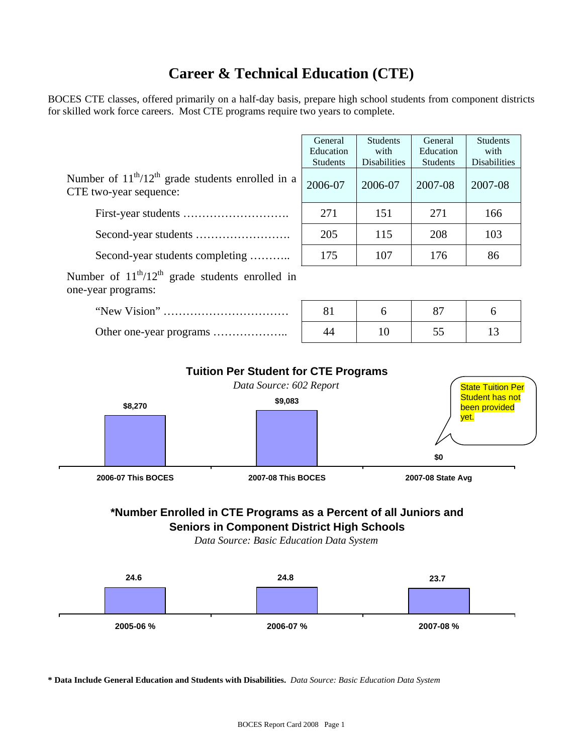# **Career & Technical Education (CTE)**

BOCES CTE classes, offered primarily on a half-day basis, prepare high school students from component districts for skilled work force careers. Most CTE programs require two years to complete.

|                                                                                    | General<br>Education | <b>Students</b><br>with | General<br>Education | <b>Students</b><br>with |
|------------------------------------------------------------------------------------|----------------------|-------------------------|----------------------|-------------------------|
|                                                                                    | <b>Students</b>      | <b>Disabilities</b>     | <b>Students</b>      | Disabilities            |
| Number of $11^{th}/12^{th}$ grade students enrolled in a<br>CTE two-year sequence: | 2006-07              | 2006-07                 | 2007-08              | 2007-08                 |
|                                                                                    | 271                  | 151                     | 271                  | 166                     |
|                                                                                    | 205                  | 115                     | 208                  | 103                     |
| Second-year students completing                                                    | 175                  | 107                     | 176                  | 86                      |
| Number of $11^{th}/12^{th}$ grade students enrolled in<br>one-year programs:       |                      |                         |                      |                         |
|                                                                                    | 81                   | 6                       | 87                   | 6                       |

|                           |  |                         | <b>Tuition Per Student for CTE Programs</b> |                          |                   |                                         |  |
|---------------------------|--|-------------------------|---------------------------------------------|--------------------------|-------------------|-----------------------------------------|--|
|                           |  | Data Source: 602 Report |                                             | <b>State Tuition Per</b> |                   |                                         |  |
| \$8,270                   |  |                         | \$9,083                                     |                          |                   | <b>Student has not</b><br>been provided |  |
|                           |  |                         |                                             |                          | \$0               | yet.                                    |  |
| <b>2006-07 This BOCES</b> |  |                         | <b>2007-08 This BOCES</b>                   |                          | 2007-08 State Avg |                                         |  |

Other one-year programs ……………….. 44 10 55 13

# **\*Number Enrolled in CTE Programs as a Percent of all Juniors and**

**Seniors in Component District High Schools**

*Data Source: Basic Education Data System*



**\* Data Include General Education and Students with Disabilities.** *Data Source: Basic Education Data System*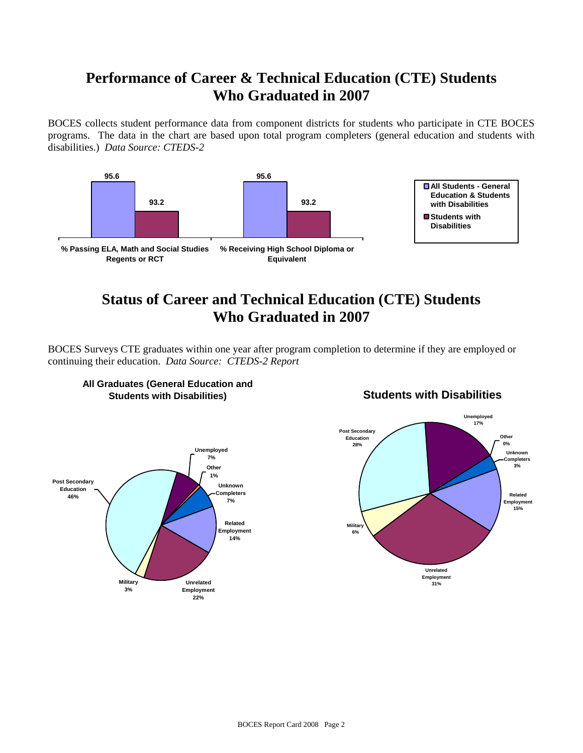# **Performance of Career & Technical Education (CTE) Students Who Graduated in 2007**

BOCES collects student performance data from component districts for students who participate in CTE BOCES programs. The data in the chart are based upon total program completers (general education and students with disabilities.) *Data Source: CTEDS-2*



# **Status of Career and Technical Education (CTE) Students Who Graduated in 2007**

BOCES Surveys CTE graduates within one year after program completion to determine if they are employed or continuing their education. *Data Source: CTEDS-2 Report*



#### **All Graduates (General Education and Students with Disabilities)**

#### **Students with Disabilities**

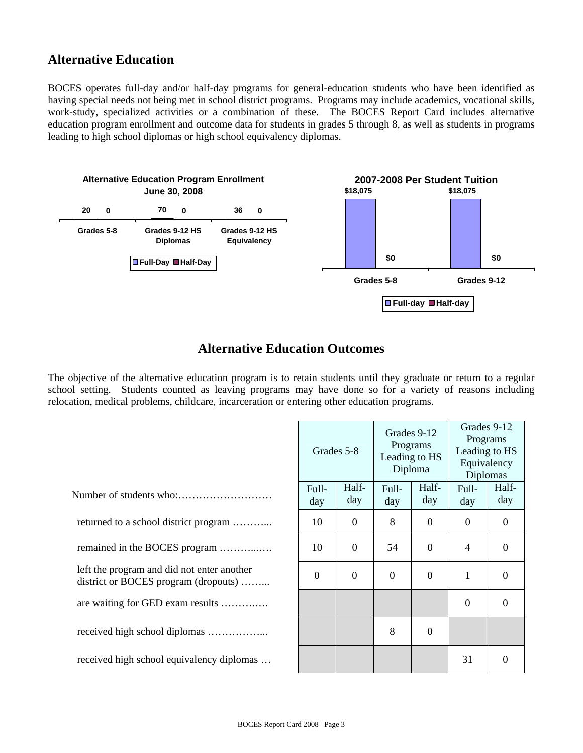#### **Alternative Education**

BOCES operates full-day and/or half-day programs for general-education students who have been identified as having special needs not being met in school district programs. Programs may include academics, vocational skills, work-study, specialized activities or a combination of these. The BOCES Report Card includes alternative education program enrollment and outcome data for students in grades 5 through 8, as well as students in programs leading to high school diplomas or high school equivalency diplomas.



#### **Alternative Education Outcomes**

The objective of the alternative education program is to retain students until they graduate or return to a regular school setting. Students counted as leaving programs may have done so for a variety of reasons including relocation, medical problems, childcare, incarceration or entering other education programs.

|                                                                                    | Grades 5-8     |              | Leading to HS | Grades 9-12<br>Programs<br>Diploma | Grades 9-12<br>Programs<br>Leading to HS<br>Equivalency<br><b>Diplomas</b> |                |
|------------------------------------------------------------------------------------|----------------|--------------|---------------|------------------------------------|----------------------------------------------------------------------------|----------------|
|                                                                                    | Full-<br>day   | Half-<br>day | Full-<br>day  | Half-<br>day                       | Full-<br>day                                                               | Half-<br>day   |
| returned to a school district program                                              | 10             | $\theta$     | 8             | $\theta$                           | $\Omega$                                                                   | $\overline{0}$ |
| remained in the BOCES program                                                      | 10             | $\theta$     | 54            | $\overline{0}$                     | $\overline{4}$                                                             | $\overline{0}$ |
| left the program and did not enter another<br>district or BOCES program (dropouts) | $\overline{0}$ | $\Omega$     | $\Omega$      | $\Omega$                           | 1                                                                          | $\theta$       |
| are waiting for GED exam results                                                   |                |              |               |                                    | $\theta$                                                                   | $\theta$       |
|                                                                                    |                |              | 8             | $\theta$                           |                                                                            |                |
| received high school equivalency diplomas                                          |                |              |               |                                    | 31                                                                         | $\Omega$       |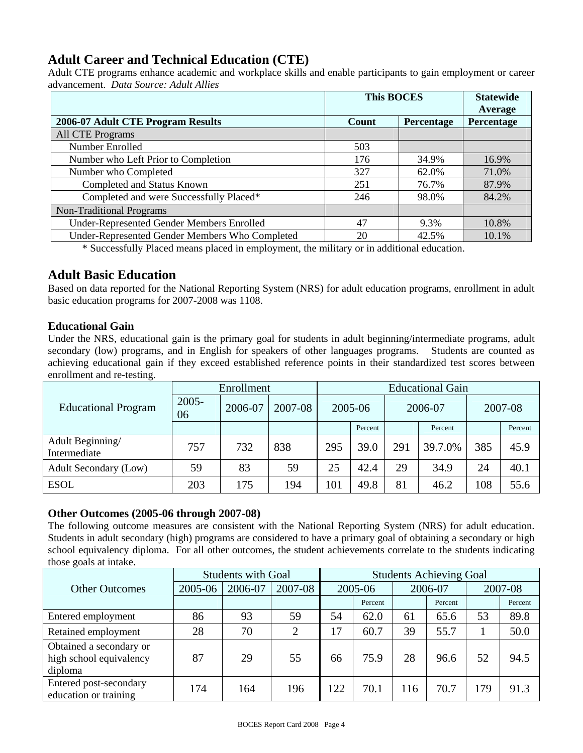#### **Adult Career and Technical Education (CTE)**

Adult CTE programs enhance academic and workplace skills and enable participants to gain employment or career advancement. *Data Source: Adult Allies* 

|                                                | <b>This BOCES</b> | <b>Statewide</b><br>Average |            |
|------------------------------------------------|-------------------|-----------------------------|------------|
| 2006-07 Adult CTE Program Results              | Count             | Percentage                  | Percentage |
| <b>All CTE Programs</b>                        |                   |                             |            |
| Number Enrolled                                | 503               |                             |            |
| Number who Left Prior to Completion            | 176               | 34.9%                       | 16.9%      |
| Number who Completed                           | 327               | 62.0%                       | 71.0%      |
| Completed and Status Known                     | 251               | 76.7%                       | 87.9%      |
| Completed and were Successfully Placed*        | 246               | 98.0%                       | 84.2%      |
| <b>Non-Traditional Programs</b>                |                   |                             |            |
| Under-Represented Gender Members Enrolled      | 47                | 9.3%                        | 10.8%      |
| Under-Represented Gender Members Who Completed | 20                | 42.5%                       | 10.1%      |

\* Successfully Placed means placed in employment, the military or in additional education.

#### **Adult Basic Education**

Based on data reported for the National Reporting System (NRS) for adult education programs, enrollment in adult basic education programs for 2007-2008 was 1108.

#### **Educational Gain**

Under the NRS, educational gain is the primary goal for students in adult beginning/intermediate programs, adult secondary (low) programs, and in English for speakers of other languages programs. Students are counted as achieving educational gain if they exceed established reference points in their standardized test scores between enrollment and re-testing.

|                                  | Enrollment     | <b>Educational Gain</b> |         |         |         |         |         |         |         |
|----------------------------------|----------------|-------------------------|---------|---------|---------|---------|---------|---------|---------|
| <b>Educational Program</b>       | $2005 -$<br>06 | 2006-07                 | 2007-08 | 2005-06 |         | 2006-07 |         | 2007-08 |         |
|                                  |                |                         |         |         | Percent |         | Percent |         | Percent |
| Adult Beginning/<br>Intermediate | 757            | 732                     | 838     | 295     | 39.0    | 291     | 39.7.0% | 385     | 45.9    |
| Adult Secondary (Low)            | 59             | 83                      | 59      | 25      | 42.4    | 29      | 34.9    | 24      | 40.1    |
| <b>ESOL</b>                      | 203            | 175                     | 194     | 101     | 49.8    | 81      | 46.2    | 108     | 55.6    |

#### **Other Outcomes (2005-06 through 2007-08)**

The following outcome measures are consistent with the National Reporting System (NRS) for adult education. Students in adult secondary (high) programs are considered to have a primary goal of obtaining a secondary or high school equivalency diploma. For all other outcomes, the student achievements correlate to the students indicating those goals at intake.

|                                                               | <b>Students with Goal</b> | <b>Students Achieving Goal</b> |                |         |         |         |         |         |         |
|---------------------------------------------------------------|---------------------------|--------------------------------|----------------|---------|---------|---------|---------|---------|---------|
| <b>Other Outcomes</b>                                         | 2005-06                   | 2006-07                        | 2007-08        | 2005-06 |         | 2006-07 |         | 2007-08 |         |
|                                                               |                           |                                |                |         | Percent |         | Percent |         | Percent |
| Entered employment                                            | 86                        | 93                             | 59             | 54      | 62.0    | 61      | 65.6    | 53      | 89.8    |
| Retained employment                                           | 28                        | 70                             | $\overline{2}$ | 17      | 60.7    | 39      | 55.7    |         | 50.0    |
| Obtained a secondary or<br>high school equivalency<br>diploma | 87                        | 29                             | 55             | 66      | 75.9    | 28      | 96.6    | 52      | 94.5    |
| Entered post-secondary<br>education or training               | 174                       | 164                            | 196            | 122     | 70.1    | 116     | 70.7    | 179     | 91.3    |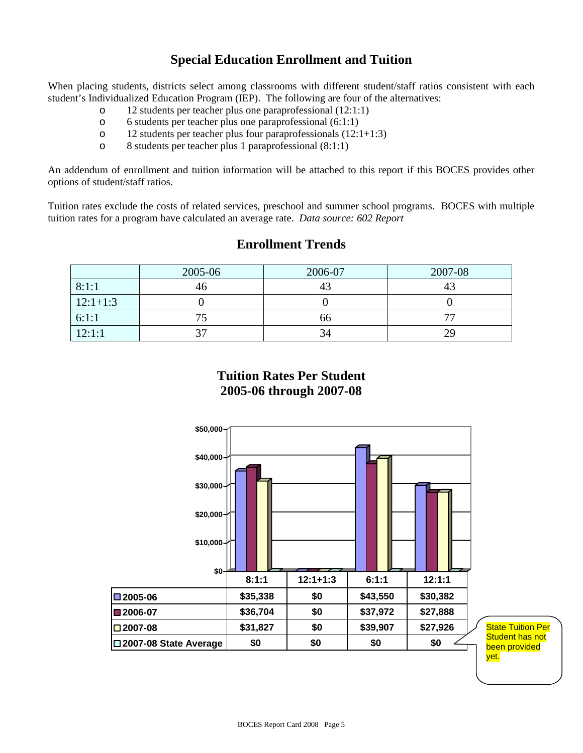#### **Special Education Enrollment and Tuition**

When placing students, districts select among classrooms with different student/staff ratios consistent with each student's Individualized Education Program (IEP). The following are four of the alternatives:

- o 12 students per teacher plus one paraprofessional (12:1:1)
- o 6 students per teacher plus one paraprofessional (6:1:1)
- o 12 students per teacher plus four paraprofessionals (12:1+1:3)
- o 8 students per teacher plus 1 paraprofessional (8:1:1)

An addendum of enrollment and tuition information will be attached to this report if this BOCES provides other options of student/staff ratios.

Tuition rates exclude the costs of related services, preschool and summer school programs. BOCES with multiple tuition rates for a program have calculated an average rate. *Data source: 602 Report*

#### **Enrollment Trends**

|            | 2005-06 | 2006-07 | 2007-08 |
|------------|---------|---------|---------|
| 8:1:1      | 46      |         |         |
| $12:1+1:3$ |         |         |         |
| 6:1:1      |         | 66      |         |
| 12:1:1     | ົ       | 34      | 29      |

#### **Tuition Rates Per Student 2005-06 through 2007-08**

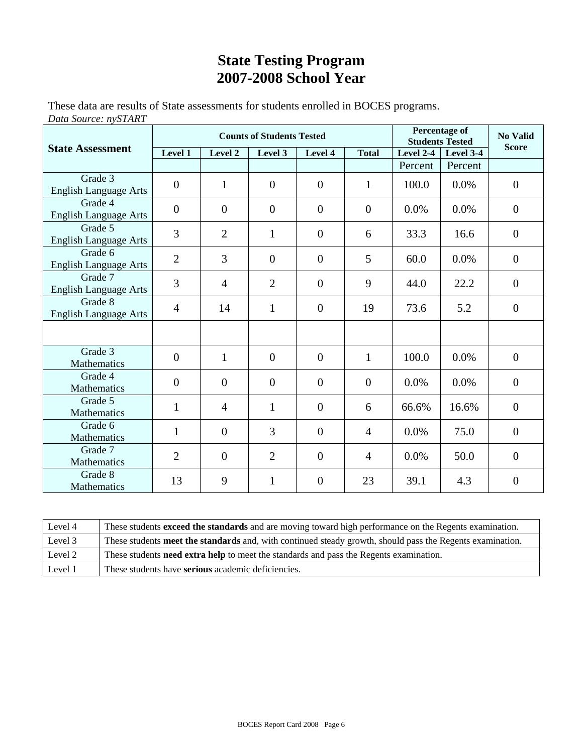# **State Testing Program 2007-2008 School Year**

These data are results of State assessments for students enrolled in BOCES programs. *Data Source: nySTART*

|                                         |                  |                | <b>Counts of Students Tested</b> | <b>Percentage of</b><br><b>Students Tested</b> | <b>No Valid</b> |             |           |                  |
|-----------------------------------------|------------------|----------------|----------------------------------|------------------------------------------------|-----------------|-------------|-----------|------------------|
| <b>State Assessment</b>                 | Level 1          | Level 2        | Level 3                          | Level 4                                        | <b>Total</b>    | Level $2-4$ | Level 3-4 | <b>Score</b>     |
|                                         |                  |                |                                  |                                                |                 | Percent     | Percent   |                  |
| Grade 3<br><b>English Language Arts</b> | $\boldsymbol{0}$ | $\mathbf{1}$   | $\overline{0}$                   | $\overline{0}$                                 | $\mathbf{1}$    | 100.0       | 0.0%      | $\boldsymbol{0}$ |
| Grade 4<br><b>English Language Arts</b> | $\boldsymbol{0}$ | $\overline{0}$ | $\overline{0}$                   | $\overline{0}$                                 | $\mathbf{0}$    | 0.0%        | 0.0%      | $\overline{0}$   |
| Grade 5<br><b>English Language Arts</b> | 3                | $\overline{2}$ | $\mathbf{1}$                     | $\overline{0}$                                 | 6               | 33.3        | 16.6      | $\theta$         |
| Grade 6<br><b>English Language Arts</b> | $\overline{2}$   | 3              | $\overline{0}$                   | $\overline{0}$                                 | 5               | 60.0        | $0.0\%$   | $\theta$         |
| Grade 7<br><b>English Language Arts</b> | 3                | $\overline{4}$ | $\overline{2}$                   | $\overline{0}$                                 | 9               | 44.0        | 22.2      | $\overline{0}$   |
| Grade 8<br><b>English Language Arts</b> | $\overline{4}$   | 14             | $\mathbf{1}$                     | $\overline{0}$                                 | 19              | 73.6        | 5.2       | $\overline{0}$   |
|                                         |                  |                |                                  |                                                |                 |             |           |                  |
| Grade 3<br><b>Mathematics</b>           | $\overline{0}$   | $\mathbf{1}$   | $\overline{0}$                   | $\overline{0}$                                 | $\mathbf{1}$    | 100.0       | 0.0%      | $\mathbf{0}$     |
| Grade 4<br>Mathematics                  | $\overline{0}$   | $\overline{0}$ | $\overline{0}$                   | $\overline{0}$                                 | $\mathbf{0}$    | 0.0%        | 0.0%      | $\theta$         |
| Grade 5<br>Mathematics                  | $\mathbf{1}$     | $\overline{4}$ | $\mathbf{1}$                     | $\overline{0}$                                 | 6               | 66.6%       | 16.6%     | $\overline{0}$   |
| Grade 6<br>Mathematics                  | 1                | $\overline{0}$ | 3                                | $\theta$                                       | $\overline{4}$  | $0.0\%$     | 75.0      | $\theta$         |
| Grade 7<br>Mathematics                  | $\overline{2}$   | $\mathbf{0}$   | $\overline{2}$                   | $\overline{0}$                                 | $\overline{4}$  | 0.0%        | 50.0      | $\overline{0}$   |
| Grade 8<br>Mathematics                  | 13               | 9              | $\mathbf{1}$                     | $\theta$                                       | 23              | 39.1        | 4.3       | $\overline{0}$   |

| Level 4 | These students <b>exceed the standards</b> and are moving toward high performance on the Regents examination. |
|---------|---------------------------------------------------------------------------------------------------------------|
| Level 3 | These students meet the standards and, with continued steady growth, should pass the Regents examination.     |
| Level 2 | These students <b>need extra help</b> to meet the standards and pass the Regents examination.                 |
| Level 1 | These students have <b>serious</b> academic deficiencies.                                                     |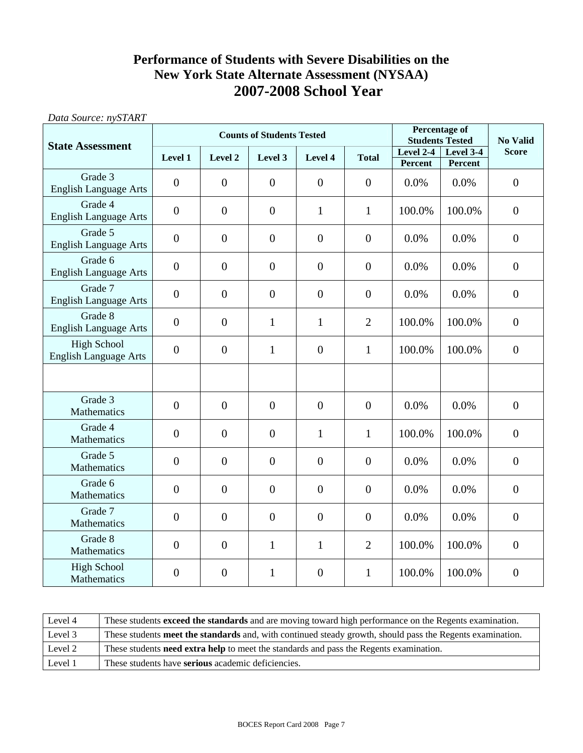#### **Performance of Students with Severe Disabilities on the New York State Alternate Assessment (NYSAA) 2007-2008 School Year**

| Data Source: nySTART                               |                  |                  |                                  |                                                |                |           |           |                  |
|----------------------------------------------------|------------------|------------------|----------------------------------|------------------------------------------------|----------------|-----------|-----------|------------------|
|                                                    |                  |                  | <b>Counts of Students Tested</b> | <b>Percentage of</b><br><b>Students Tested</b> | No Valid       |           |           |                  |
| <b>State Assessment</b>                            | Level 1          | Level 2          | Level 3                          | Level 4                                        | <b>Total</b>   | Level 2-4 | Level 3-4 | <b>Score</b>     |
|                                                    |                  |                  |                                  |                                                |                | Percent   | Percent   |                  |
| Grade 3<br><b>English Language Arts</b>            | $\overline{0}$   | $\mathbf{0}$     | $\boldsymbol{0}$                 | $\overline{0}$                                 | $\overline{0}$ | 0.0%      | 0.0%      | $\overline{0}$   |
| Grade 4<br><b>English Language Arts</b>            | $\boldsymbol{0}$ | $\overline{0}$   | $\overline{0}$                   | $\mathbf{1}$                                   | $\mathbf{1}$   | 100.0%    | 100.0%    | $\overline{0}$   |
| Grade 5<br><b>English Language Arts</b>            | $\boldsymbol{0}$ | $\boldsymbol{0}$ | $\boldsymbol{0}$                 | $\boldsymbol{0}$                               | $\mathbf{0}$   | 0.0%      | 0.0%      | $\boldsymbol{0}$ |
| Grade 6<br><b>English Language Arts</b>            | $\overline{0}$   | $\mathbf{0}$     | $\overline{0}$                   | $\overline{0}$                                 | $\overline{0}$ | 0.0%      | 0.0%      | $\overline{0}$   |
| Grade 7<br><b>English Language Arts</b>            | $\boldsymbol{0}$ | $\boldsymbol{0}$ | $\boldsymbol{0}$                 | $\boldsymbol{0}$                               | $\mathbf{0}$   | 0.0%      | 0.0%      | $\overline{0}$   |
| Grade 8<br><b>English Language Arts</b>            | $\overline{0}$   | $\overline{0}$   | 1                                | $\mathbf{1}$                                   | $\overline{2}$ | 100.0%    | 100.0%    | $\overline{0}$   |
| <b>High School</b><br><b>English Language Arts</b> | $\overline{0}$   | $\overline{0}$   | $\mathbf{1}$                     | $\overline{0}$                                 | $\mathbf{1}$   | 100.0%    | 100.0%    | $\overline{0}$   |
|                                                    |                  |                  |                                  |                                                |                |           |           |                  |
| Grade 3<br>Mathematics                             | $\overline{0}$   | $\mathbf{0}$     | $\boldsymbol{0}$                 | $\overline{0}$                                 | $\mathbf{0}$   | 0.0%      | 0.0%      | $\overline{0}$   |
| Grade 4<br>Mathematics                             | $\boldsymbol{0}$ | $\mathbf{0}$     | $\boldsymbol{0}$                 | $\mathbf{1}$                                   | $\mathbf{1}$   | 100.0%    | 100.0%    | $\overline{0}$   |
| Grade 5<br>Mathematics                             | $\overline{0}$   | $\overline{0}$   | $\overline{0}$                   | $\theta$                                       | $\overline{0}$ | 0.0%      | 0.0%      | $\overline{0}$   |
| Grade 6<br>Mathematics                             | $\overline{0}$   | $\mathbf{0}$     | $\boldsymbol{0}$                 | $\overline{0}$                                 | $\overline{0}$ | 0.0%      | 0.0%      | $\overline{0}$   |
| Grade 7<br>Mathematics                             | $\overline{0}$   | $\overline{0}$   | $\boldsymbol{0}$                 | $\overline{0}$                                 | $\overline{0}$ | 0.0%      | 0.0%      | $\overline{0}$   |
| Grade 8<br>Mathematics                             | $\boldsymbol{0}$ | $\mathbf{0}$     | $\mathbf{1}$                     | $\mathbf{1}$                                   | $\overline{2}$ | 100.0%    | 100.0%    | $\overline{0}$   |
| <b>High School</b><br>Mathematics                  | $\overline{0}$   | $\boldsymbol{0}$ | $\mathbf{1}$                     | $\overline{0}$                                 | $\mathbf{1}$   | 100.0%    | 100.0%    | $\overline{0}$   |

| Level 4 | These students exceed the standards and are moving toward high performance on the Regents examination.    |
|---------|-----------------------------------------------------------------------------------------------------------|
| Level 3 | These students meet the standards and, with continued steady growth, should pass the Regents examination. |
| Level 2 | These students <b>need extra help</b> to meet the standards and pass the Regents examination.             |
| Level 1 | These students have serious academic deficiencies.                                                        |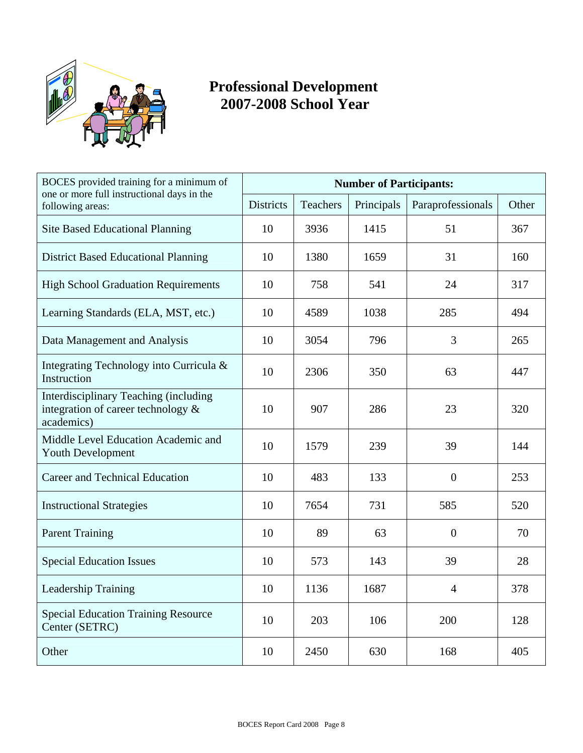

# **Professional Development 2007-2008 School Year**

| BOCES provided training for a minimum of<br>one or more full instructional days in the<br>following areas: | <b>Number of Participants:</b> |                 |            |                   |       |  |
|------------------------------------------------------------------------------------------------------------|--------------------------------|-----------------|------------|-------------------|-------|--|
|                                                                                                            | <b>Districts</b>               | <b>Teachers</b> | Principals | Paraprofessionals | Other |  |
| <b>Site Based Educational Planning</b>                                                                     | 10                             | 3936            | 1415       | 51                | 367   |  |
| <b>District Based Educational Planning</b>                                                                 | 10                             | 1380            | 1659       | 31                | 160   |  |
| <b>High School Graduation Requirements</b>                                                                 | 10                             | 758             | 541        | 24                | 317   |  |
| Learning Standards (ELA, MST, etc.)                                                                        | 10                             | 4589            | 1038       | 285               | 494   |  |
| Data Management and Analysis                                                                               | 10                             | 3054            | 796        | 3                 | 265   |  |
| Integrating Technology into Curricula &<br>Instruction                                                     | 10                             | 2306            | 350        | 63                | 447   |  |
| Interdisciplinary Teaching (including<br>integration of career technology $\&$<br>academics)               | 10                             | 907             | 286        | 23                | 320   |  |
| Middle Level Education Academic and<br><b>Youth Development</b>                                            | 10                             | 1579            | 239        | 39                | 144   |  |
| <b>Career and Technical Education</b>                                                                      | 10                             | 483             | 133        | $\overline{0}$    | 253   |  |
| <b>Instructional Strategies</b>                                                                            | 10                             | 7654            | 731        | 585               | 520   |  |
| <b>Parent Training</b>                                                                                     | 10                             | 89              | 63         | $\overline{0}$    | 70    |  |
| <b>Special Education Issues</b>                                                                            | 10                             | 573             | 143        | 39                | 28    |  |
| Leadership Training                                                                                        | 10                             | 1136            | 1687       | $\overline{4}$    | 378   |  |
| <b>Special Education Training Resource</b><br>Center (SETRC)                                               | 10                             | 203             | 106        | 200               | 128   |  |
| Other                                                                                                      | 10                             | 2450            | 630        | 168               | 405   |  |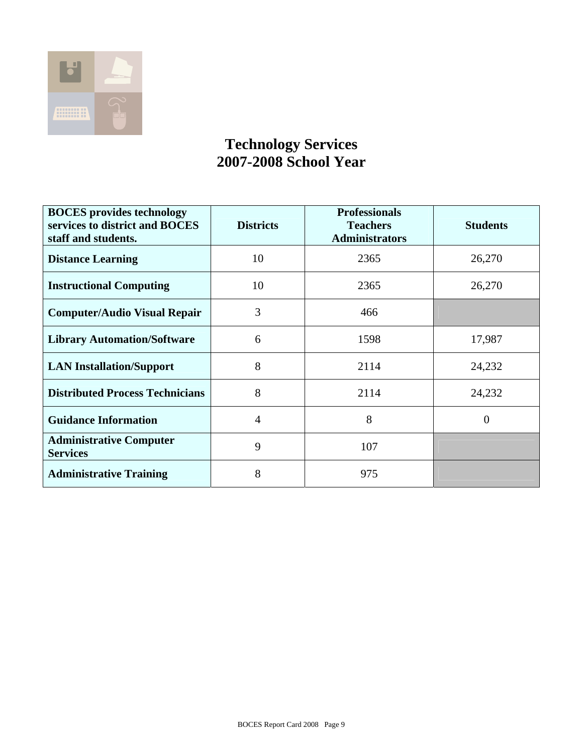

### **Technology Services 2007-2008 School Year**

| <b>BOCES</b> provides technology<br>services to district and BOCES<br>staff and students. | <b>Districts</b> | <b>Professionals</b><br><b>Teachers</b><br><b>Administrators</b> | <b>Students</b> |
|-------------------------------------------------------------------------------------------|------------------|------------------------------------------------------------------|-----------------|
| <b>Distance Learning</b>                                                                  | 10               | 2365                                                             | 26,270          |
| <b>Instructional Computing</b>                                                            | 10               | 2365                                                             | 26,270          |
| <b>Computer/Audio Visual Repair</b>                                                       | 3                | 466                                                              |                 |
| <b>Library Automation/Software</b>                                                        | 6                | 1598                                                             | 17,987          |
| <b>LAN Installation/Support</b>                                                           | 8                | 2114                                                             | 24,232          |
| <b>Distributed Process Technicians</b>                                                    | 8                | 2114                                                             | 24,232          |
| <b>Guidance Information</b>                                                               | $\overline{4}$   | 8                                                                | $\overline{0}$  |
| <b>Administrative Computer</b><br><b>Services</b>                                         | 9                | 107                                                              |                 |
| <b>Administrative Training</b>                                                            | 8                | 975                                                              |                 |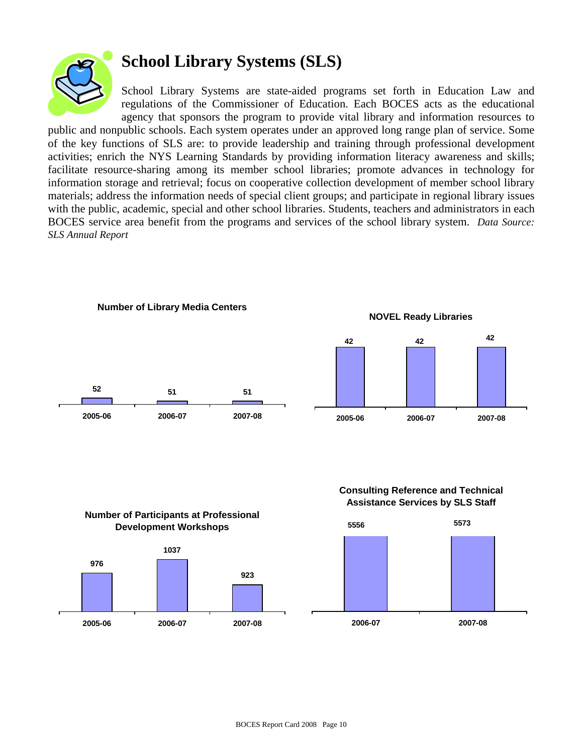

# **School Library Systems (SLS)**

School Library Systems are state-aided programs set forth in Education Law and regulations of the Commissioner of Education. Each BOCES acts as the educational agency that sponsors the program to provide vital library and information resources to

public and nonpublic schools. Each system operates under an approved long range plan of service. Some of the key functions of SLS are: to provide leadership and training through professional development activities; enrich the NYS Learning Standards by providing information literacy awareness and skills; facilitate resource-sharing among its member school libraries; promote advances in technology for information storage and retrieval; focus on cooperative collection development of member school library materials; address the information needs of special client groups; and participate in regional library issues with the public, academic, special and other school libraries. Students, teachers and administrators in each BOCES service area benefit from the programs and services of the school library system. *Data Source: SLS Annual Report*